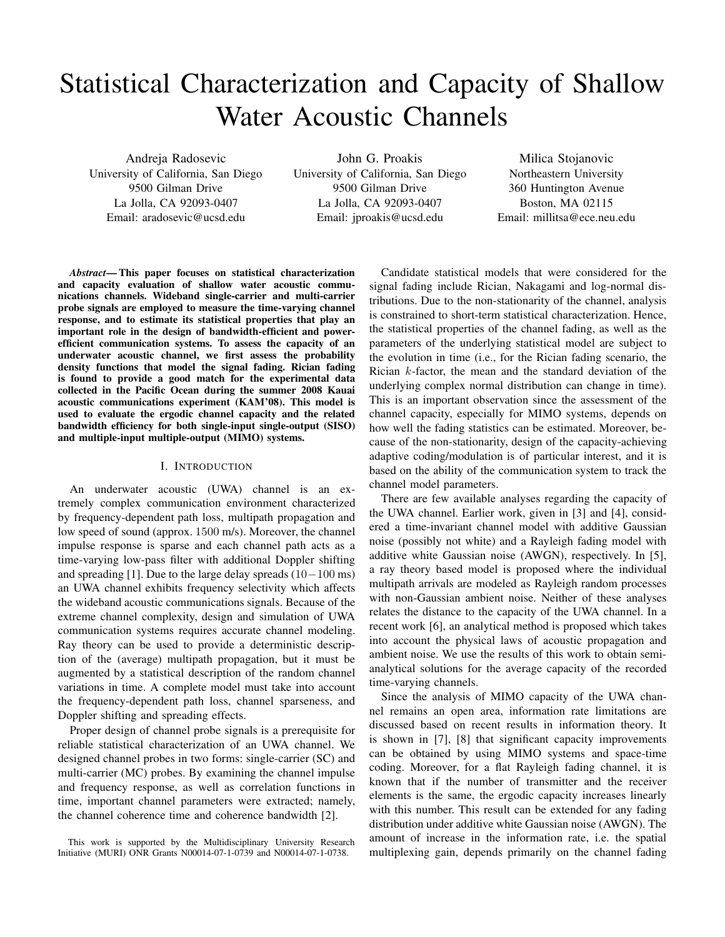# Statistical Characterization and Capacity of Shallow Water Acoustic Channels

Andreja Radosevic University of California, San Diego 9500 Gilman Drive La Jolla, CA 92093-0407 Email: aradosevic@ucsd.edu

John G. Proakis University of California, San Diego 9500 Gilman Drive La Jolla, CA 92093-0407 Email: jproakis@ucsd.edu

Milica Stojanovic Northeastern University 360 Huntington Avenue Boston, MA 02115 Email: millitsa@ece.neu.edu

*Abstract***— This paper focuses on statistical characterization and capacity evaluation of shallow water acoustic communications channels. Wideband single-carrier and multi-carrier probe signals are employed to measure the time-varying channel response, and to estimate its statistical properties that play an important role in the design of bandwidth-efficient and powerefficient communication systems. To assess the capacity of an underwater acoustic channel, we first assess the probability density functions that model the signal fading. Rician fading is found to provide a good match for the experimental data collected in the Pacific Ocean during the summer 2008 Kauai acoustic communications experiment (KAM'08). This model is used to evaluate the ergodic channel capacity and the related bandwidth efficiency for both single-input single-output (SISO) and multiple-input multiple-output (MIMO) systems.**

# I. INTRODUCTION

An underwater acoustic (UWA) channel is an extremely complex communication environment characterized by frequency-dependent path loss, multipath propagation and low speed of sound (approx. 1500 m/s). Moreover, the channel impulse response is sparse and each channel path acts as a time-varying low-pass filter with additional Doppler shifting and spreading [1]. Due to the large delay spreads (10−100 ms) an UWA channel exhibits frequency selectivity which affects the wideband acoustic communications signals. Because of the extreme channel complexity, design and simulation of UWA communication systems requires accurate channel modeling. Ray theory can be used to provide a deterministic description of the (average) multipath propagation, but it must be augmented by a statistical description of the random channel variations in time. A complete model must take into account the frequency-dependent path loss, channel sparseness, and Doppler shifting and spreading effects.

Proper design of channel probe signals is a prerequisite for reliable statistical characterization of an UWA channel. We designed channel probes in two forms: single-carrier (SC) and multi-carrier (MC) probes. By examining the channel impulse and frequency response, as well as correlation functions in time, important channel parameters were extracted; namely, the channel coherence time and coherence bandwidth [2].

This work is supported by the Multidisciplinary University Research Initiative (MURI) ONR Grants N00014-07-1-0739 and N00014-07-1-0738.

Candidate statistical models that were considered for the signal fading include Rician, Nakagami and log-normal distributions. Due to the non-stationarity of the channel, analysis is constrained to short-term statistical characterization. Hence, the statistical properties of the channel fading, as well as the parameters of the underlying statistical model are subject to the evolution in time (i.e., for the Rician fading scenario, the Rician k-factor, the mean and the standard deviation of the underlying complex normal distribution can change in time). This is an important observation since the assessment of the channel capacity, especially for MIMO systems, depends on how well the fading statistics can be estimated. Moreover, because of the non-stationarity, design of the capacity-achieving adaptive coding/modulation is of particular interest, and it is based on the ability of the communication system to track the channel model parameters.

There are few available analyses regarding the capacity of the UWA channel. Earlier work, given in [3] and [4], considered a time-invariant channel model with additive Gaussian noise (possibly not white) and a Rayleigh fading model with additive white Gaussian noise (AWGN), respectively. In [5], a ray theory based model is proposed where the individual multipath arrivals are modeled as Rayleigh random processes with non-Gaussian ambient noise. Neither of these analyses relates the distance to the capacity of the UWA channel. In a recent work [6], an analytical method is proposed which takes into account the physical laws of acoustic propagation and ambient noise. We use the results of this work to obtain semianalytical solutions for the average capacity of the recorded time-varying channels.

Since the analysis of MIMO capacity of the UWA channel remains an open area, information rate limitations are discussed based on recent results in information theory. It is shown in [7], [8] that significant capacity improvements can be obtained by using MIMO systems and space-time coding. Moreover, for a flat Rayleigh fading channel, it is known that if the number of transmitter and the receiver elements is the same, the ergodic capacity increases linearly with this number. This result can be extended for any fading distribution under additive white Gaussian noise (AWGN). The amount of increase in the information rate, i.e. the spatial multiplexing gain, depends primarily on the channel fading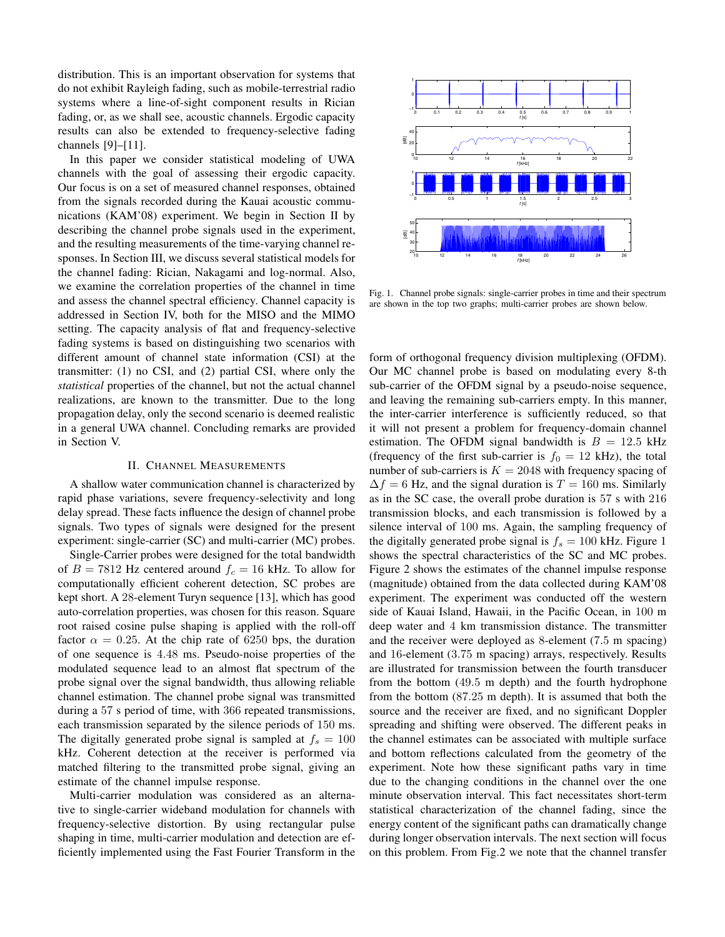distribution. This is an important observation for systems that do not exhibit Rayleigh fading, such as mobile-terrestrial radio systems where a line-of-sight component results in Rician fading, or, as we shall see, acoustic channels. Ergodic capacity results can also be extended to frequency-selective fading channels [9]–[11].

In this paper we consider statistical modeling of UWA channels with the goal of assessing their ergodic capacity. Our focus is on a set of measured channel responses, obtained from the signals recorded during the Kauai acoustic communications (KAM'08) experiment. We begin in Section II by describing the channel probe signals used in the experiment, and the resulting measurements of the time-varying channel responses. In Section III, we discuss several statistical models for the channel fading: Rician, Nakagami and log-normal. Also, we examine the correlation properties of the channel in time and assess the channel spectral efficiency. Channel capacity is addressed in Section IV, both for the MISO and the MIMO setting. The capacity analysis of flat and frequency-selective fading systems is based on distinguishing two scenarios with different amount of channel state information (CSI) at the transmitter: (1) no CSI, and (2) partial CSI, where only the *statistical* properties of the channel, but not the actual channel realizations, are known to the transmitter. Due to the long propagation delay, only the second scenario is deemed realistic in a general UWA channel. Concluding remarks are provided in Section V.

# II. CHANNEL MEASUREMENTS

A shallow water communication channel is characterized by rapid phase variations, severe frequency-selectivity and long delay spread. These facts influence the design of channel probe signals. Two types of signals were designed for the present experiment: single-carrier (SC) and multi-carrier (MC) probes.

Single-Carrier probes were designed for the total bandwidth of  $B = 7812$  Hz centered around  $f_c = 16$  kHz. To allow for computationally efficient coherent detection, SC probes are kept short. A 28-element Turyn sequence [13], which has good auto-correlation properties, was chosen for this reason. Square root raised cosine pulse shaping is applied with the roll-off factor  $\alpha = 0.25$ . At the chip rate of 6250 bps, the duration of one sequence is 4.48 ms. Pseudo-noise properties of the modulated sequence lead to an almost flat spectrum of the probe signal over the signal bandwidth, thus allowing reliable channel estimation. The channel probe signal was transmitted during a 57 s period of time, with 366 repeated transmissions, each transmission separated by the silence periods of 150 ms. The digitally generated probe signal is sampled at  $f_s = 100$ kHz. Coherent detection at the receiver is performed via matched filtering to the transmitted probe signal, giving an estimate of the channel impulse response.

Multi-carrier modulation was considered as an alternative to single-carrier wideband modulation for channels with frequency-selective distortion. By using rectangular pulse shaping in time, multi-carrier modulation and detection are efficiently implemented using the Fast Fourier Transform in the



Fig. 1. Channel probe signals: single-carrier probes in time and their spectrum are shown in the top two graphs; multi-carrier probes are shown below.

form of orthogonal frequency division multiplexing (OFDM). Our MC channel probe is based on modulating every 8-th sub-carrier of the OFDM signal by a pseudo-noise sequence, and leaving the remaining sub-carriers empty. In this manner, the inter-carrier interference is sufficiently reduced, so that it will not present a problem for frequency-domain channel estimation. The OFDM signal bandwidth is  $B = 12.5$  kHz (frequency of the first sub-carrier is  $f_0 = 12$  kHz), the total number of sub-carriers is  $K = 2048$  with frequency spacing of  $\Delta f = 6$  Hz, and the signal duration is  $T = 160$  ms. Similarly as in the SC case, the overall probe duration is 57 s with 216 transmission blocks, and each transmission is followed by a silence interval of 100 ms. Again, the sampling frequency of the digitally generated probe signal is  $f_s = 100$  kHz. Figure 1 shows the spectral characteristics of the SC and MC probes. Figure 2 shows the estimates of the channel impulse response (magnitude) obtained from the data collected during KAM'08 experiment. The experiment was conducted off the western side of Kauai Island, Hawaii, in the Pacific Ocean, in 100 m deep water and 4 km transmission distance. The transmitter and the receiver were deployed as 8-element (7.5 m spacing) and 16-element (3.75 m spacing) arrays, respectively. Results are illustrated for transmission between the fourth transducer from the bottom (49.5 m depth) and the fourth hydrophone from the bottom (87.25 m depth). It is assumed that both the source and the receiver are fixed, and no significant Doppler spreading and shifting were observed. The different peaks in the channel estimates can be associated with multiple surface and bottom reflections calculated from the geometry of the experiment. Note how these significant paths vary in time due to the changing conditions in the channel over the one minute observation interval. This fact necessitates short-term statistical characterization of the channel fading, since the energy content of the significant paths can dramatically change during longer observation intervals. The next section will focus on this problem. From Fig.2 we note that the channel transfer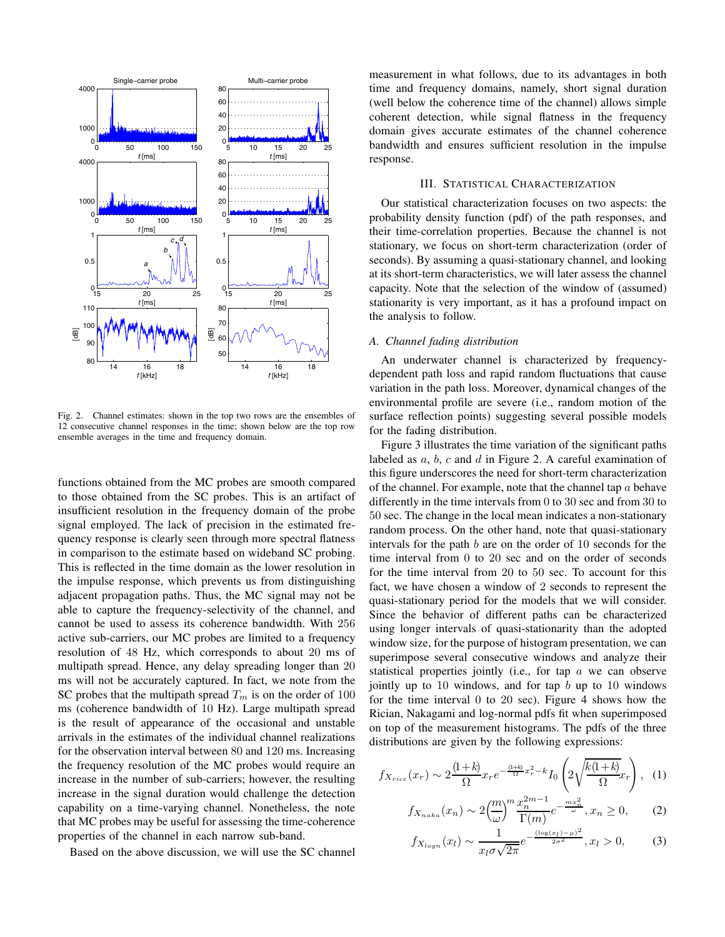

Fig. 2. Channel estimates: shown in the top two rows are the ensembles of 12 consecutive channel responses in the time; shown below are the top row ensemble averages in the time and frequency domain.

functions obtained from the MC probes are smooth compared to those obtained from the SC probes. This is an artifact of insufficient resolution in the frequency domain of the probe signal employed. The lack of precision in the estimated frequency response is clearly seen through more spectral flatness in comparison to the estimate based on wideband SC probing. This is reflected in the time domain as the lower resolution in the impulse response, which prevents us from distinguishing adjacent propagation paths. Thus, the MC signal may not be able to capture the frequency-selectivity of the channel, and cannot be used to assess its coherence bandwidth. With 256 active sub-carriers, our MC probes are limited to a frequency resolution of 48 Hz, which corresponds to about 20 ms of multipath spread. Hence, any delay spreading longer than 20 ms will not be accurately captured. In fact, we note from the SC probes that the multipath spread  $T_m$  is on the order of 100 ms (coherence bandwidth of 10 Hz). Large multipath spread is the result of appearance of the occasional and unstable arrivals in the estimates of the individual channel realizations for the observation interval between 80 and 120 ms. Increasing the frequency resolution of the MC probes would require an increase in the number of sub-carriers; however, the resulting increase in the signal duration would challenge the detection capability on a time-varying channel. Nonetheless, the note that MC probes may be useful for assessing the time-coherence properties of the channel in each narrow sub-band.

Based on the above discussion, we will use the SC channel

measurement in what follows, due to its advantages in both time and frequency domains, namely, short signal duration (well below the coherence time of the channel) allows simple coherent detection, while signal flatness in the frequency domain gives accurate estimates of the channel coherence bandwidth and ensures sufficient resolution in the impulse response.

#### III. STATISTICAL CHARACTERIZATION

Our statistical characterization focuses on two aspects: the probability density function (pdf) of the path responses, and their time-correlation properties. Because the channel is not stationary, we focus on short-term characterization (order of seconds). By assuming a quasi-stationary channel, and looking at its short-term characteristics, we will later assess the channel capacity. Note that the selection of the window of (assumed) stationarity is very important, as it has a profound impact on the analysis to follow.

# *A. Channel fading distribution*

An underwater channel is characterized by frequencydependent path loss and rapid random fluctuations that cause variation in the path loss. Moreover, dynamical changes of the environmental profile are severe (i.e., random motion of the surface reflection points) suggesting several possible models for the fading distribution.

Figure 3 illustrates the time variation of the significant paths labeled as  $a, b, c$  and  $d$  in Figure 2. A careful examination of this figure underscores the need for short-term characterization of the channel. For example, note that the channel tap  $a$  behave differently in the time intervals from 0 to 30 sec and from 30 to 50 sec. The change in the local mean indicates a non-stationary random process. On the other hand, note that quasi-stationary intervals for the path  $b$  are on the order of 10 seconds for the time interval from 0 to 20 sec and on the order of seconds for the time interval from 20 to 50 sec. To account for this fact, we have chosen a window of 2 seconds to represent the quasi-stationary period for the models that we will consider. Since the behavior of different paths can be characterized using longer intervals of quasi-stationarity than the adopted window size, for the purpose of histogram presentation, we can superimpose several consecutive windows and analyze their statistical properties jointly (i.e., for tap  $a$  we can observe jointly up to 10 windows, and for tap  $b$  up to 10 windows for the time interval 0 to 20 sec). Figure 4 shows how the Rician, Nakagami and log-normal pdfs fit when superimposed on top of the measurement histograms. The pdfs of the three distributions are given by the following expressions:

$$
f_{X_{rice}}(x_r) \sim 2 \frac{(1+k)}{\Omega} x_r e^{-\frac{(1+k)}{\Omega} x_r^2 - k} I_0 \left( 2\sqrt{\frac{k(1+k)}{\Omega} x_r} \right), \tag{1}
$$

$$
f_{X_{naka}}(x_n) \sim 2\left(\frac{m}{\omega}\right)^m \frac{x_n^{2m-1}}{\Gamma(m)} e^{-\frac{mx_n^2}{\omega}}, x_n \ge 0,
$$
 (2)

$$
f_{X_{logn}}(x_l) \sim \frac{1}{x_l \sigma \sqrt{2\pi}} e^{-\frac{(\log(x_l) - \mu)^2}{2\sigma^2}}, x_l > 0,
$$
 (3)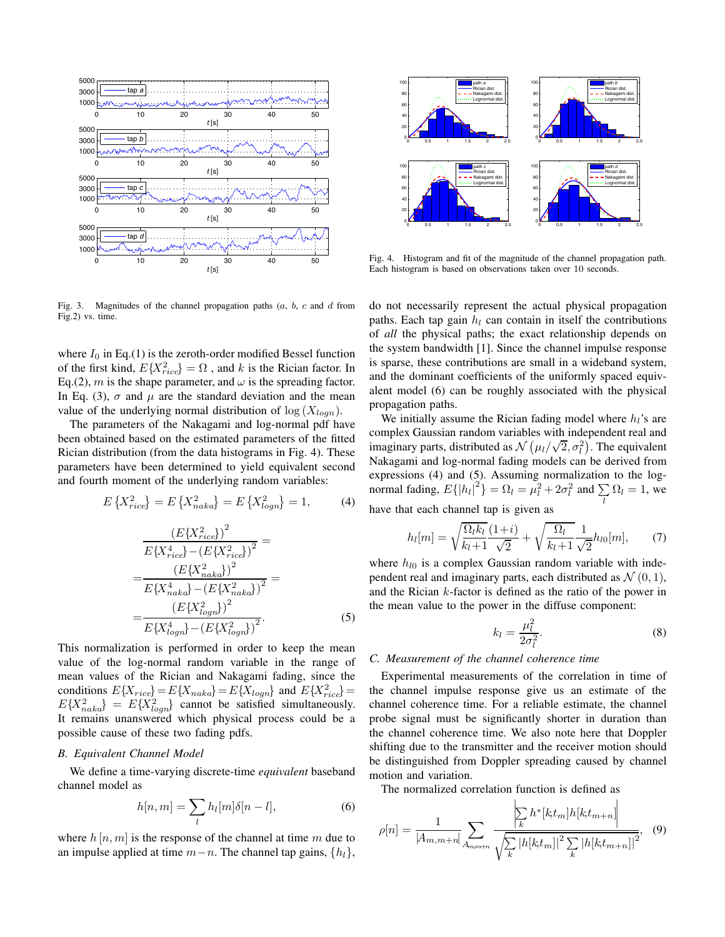

Fig. 3. Magnitudes of the channel propagation paths (*a*, *b*, *c* and *d* from Fig.2) vs. time.

where  $I_0$  in Eq.(1) is the zeroth-order modified Bessel function of the first kind,  $E\{X_{ricel}^2\} = \Omega$ , and k is the Rician factor. In Eq.(2), m is the shape parameter, and  $\omega$  is the spreading factor. In Eq. (3),  $\sigma$  and  $\mu$  are the standard deviation and the mean value of the underlying normal distribution of  $log(X_{logn})$ .

The parameters of the Nakagami and log-normal pdf have been obtained based on the estimated parameters of the fitted Rician distribution (from the data histograms in Fig. 4). These parameters have been determined to yield equivalent second and fourth moment of the underlying random variables:

$$
E\left\{X_{rice}^2\right\} = E\left\{X_{naka}^2\right\} = E\left\{X_{logn}^2\right\} = 1,\tag{4}
$$

$$
\frac{\left(E\{X_{rice}^{2}\}\right)^{2}}{E\{X_{rice}^{4}\} - \left(E\{X_{rice}^{2}\}\right)^{2}} = \frac{\left(E\{X_{nak}^{2}\}\right)^{2}}{E\{X_{nak}^{4}\} - \left(E\{X_{nak}^{2}\}\right)^{2}} = \frac{\left(E\{X_{logn}^{2}\}\right)^{2}}{E\{X_{logn}^{4}\} - \left(E\{X_{logn}^{2}\}\right)^{2}}.
$$
\n(5)

This normalization is performed in order to keep the mean value of the log-normal random variable in the range of mean values of the Rician and Nakagami fading, since the conditions  $E\{X_{rice}\}=E\{X_{naka}\}=E\{X_{logn}\}\$  and  $E\{X_{rice}^2\}=E\{Y^2\}$  cannot be satisfied simultaneously  $E{X<sub>naka</sub><sup>2</sup>} = E{X<sub>logn</sub><sup>2</sup>}$  cannot be satisfied simultaneously. It remains unanswered which physical process could be a possible cause of these two fading pdfs.

# *B. Equivalent Channel Model*

We define a time-varying discrete-time *equivalent* baseband channel model as

$$
h[n,m] = \sum_{l} h_l[m]\delta[n-l],\tag{6}
$$

where  $h[n,m]$  is the response of the channel at time m due to an impulse applied at time  $m-n$ . The channel tap gains,  $\{h_l\}$ ,



Fig. 4. Histogram and fit of the magnitude of the channel propagation path. Each histogram is based on observations taken over 10 seconds.

do not necessarily represent the actual physical propagation paths. Each tap gain  $h_l$  can contain in itself the contributions of *all* the physical paths; the exact relationship depends on the system bandwidth [1]. Since the channel impulse response is sparse, these contributions are small in a wideband system, and the dominant coefficients of the uniformly spaced equivalent model (6) can be roughly associated with the physical propagation paths.

We initially assume the Rician fading model where  $h_i$ 's are complex Gaussian random variables with independent real and complex Gaussian random variables with independent real and<br>
imaginary parts, distributed as  $\mathcal{N}(\mu_1/\sqrt{2}, \sigma_1^2)$ . The equivalent l Nakagami and log-normal fading models can be derived from expressions (4) and (5). Assuming normalization to the lognormal fading,  $E\{|h_l|^2\} = \Omega_l = \mu_l^2 + 2\sigma_l^2$  and  $\sum_l \Omega_l = 1$ , we have that each channel tap is given as

$$
h_l[m] = \sqrt{\frac{\Omega_l k_l}{k_l + 1}} \frac{(1+i)}{\sqrt{2}} + \sqrt{\frac{\Omega_l}{k_l + 1}} \frac{1}{\sqrt{2}} h_{l0}[m],\tag{7}
$$

where  $h_{l0}$  is a complex Gaussian random variable with independent real and imaginary parts, each distributed as  $\mathcal{N}(0, 1)$ , and the Rician k-factor is defined as the ratio of the power in the mean value to the power in the diffuse component:

$$
k_l = \frac{\mu_l^2}{2\sigma_l^2}.\tag{8}
$$

# l *C. Measurement of the channel coherence time*

Experimental measurements of the correlation in time of the channel impulse response give us an estimate of the channel coherence time. For a reliable estimate, the channel probe signal must be significantly shorter in duration than the channel coherence time. We also note here that Doppler shifting due to the transmitter and the receiver motion should be distinguished from Doppler spreading caused by channel motion and variation.

The normalized correlation function is defined as

$$
\rho[n] = \frac{1}{|A_{m,m+n}|} \sum_{A_{m,m+n}} \frac{\left| \sum_{k} h^*[k,t_m] h[k,t_{m+n}] \right|}{\sqrt{\sum_{k} |h[k,t_m]|^2 \sum_{k} |h[k,t_{m+n}]|^2}}, \quad (9)
$$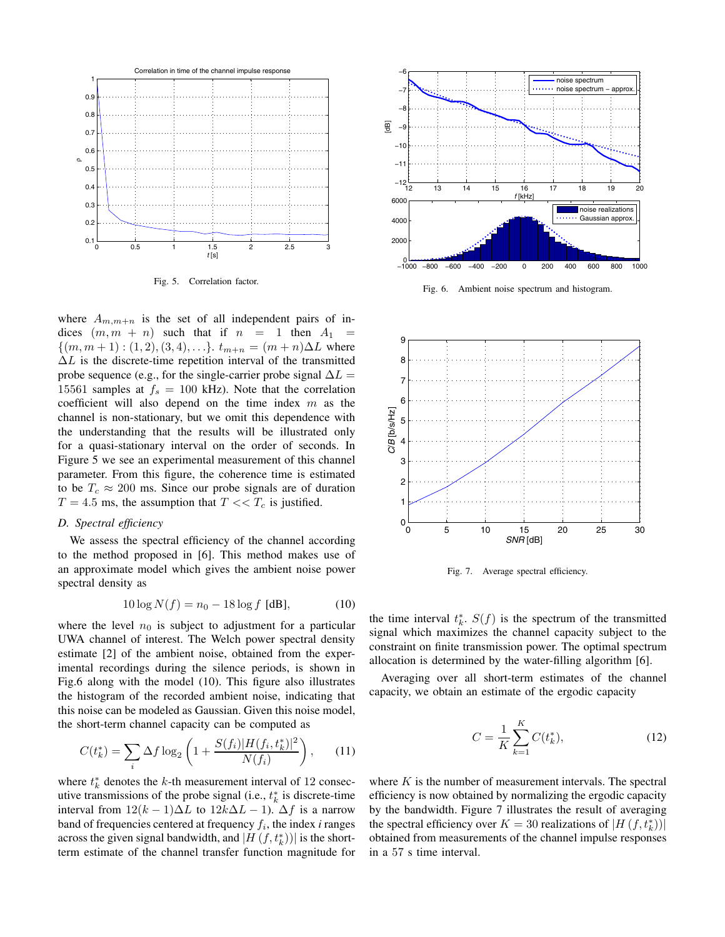

Fig. 5. Correlation factor.

where  $A_{m,m+n}$  is the set of all independent pairs of indices  $(m, m + n)$  such that if  $n = 1$  then  $A_1$  ${(m, m + 1) : (1, 2), (3, 4), \ldots}.$   $t_{m+n} = (m+n)\Delta L$  where  $\Delta L$  is the discrete-time repetition interval of the transmitted probe sequence (e.g., for the single-carrier probe signal  $\Delta L =$ 15561 samples at  $f_s = 100$  kHz). Note that the correlation coefficient will also depend on the time index  $m$  as the channel is non-stationary, but we omit this dependence with the understanding that the results will be illustrated only for a quasi-stationary interval on the order of seconds. In Figure 5 we see an experimental measurement of this channel parameter. From this figure, the coherence time is estimated to be  $T_c \approx 200$  ms. Since our probe signals are of duration  $T = 4.5$  ms, the assumption that  $T \ll T_c$  is justified.

#### *D. Spectral efficiency*

We assess the spectral efficiency of the channel according to the method proposed in [6]. This method makes use of an approximate model which gives the ambient noise power spectral density as

$$
10\log N(f) = n_0 - 18\log f \text{ [dB]},\tag{10}
$$

where the level  $n_0$  is subject to adjustment for a particular UWA channel of interest. The Welch power spectral density estimate [2] of the ambient noise, obtained from the experimental recordings during the silence periods, is shown in Fig.6 along with the model (10). This figure also illustrates the histogram of the recorded ambient noise, indicating that this noise can be modeled as Gaussian. Given this noise model, the short-term channel capacity can be computed as

$$
C(t_k^*) = \sum_i \Delta f \log_2 \left( 1 + \frac{S(f_i)|H(f_i, t_k^*)|^2}{N(f_i)} \right), \qquad (11)
$$

where  $t_k^*$  denotes the k-th measurement interval of 12 consective transmissions of the probe signal (i.e.  $t^*$  is discrete-time utive transmissions of the probe signal (i.e.,  $t_k^*$  is discrete-time<br>interval from  $12(k-1)\Delta L$ , to  $12k\Delta L - 1$ )  $\Delta f$  is a narrow interval from  $12(k-1)\Delta L$  to  $12k\Delta L - 1$ ).  $\Delta f$  is a narrow band of frequencies centered at frequency  $f_i$ , the index  $i$  ranges across the given signal bandwidth, and  $|H(f, t_k^*)|$  is the short-<br>term estimate of the channel transfer function magnitude for term estimate of the channel transfer function magnitude for



Fig. 6. Ambient noise spectrum and histogram.



Fig. 7. Average spectral efficiency.

the time interval  $t_k^*$ .  $S(f)$  is the spectrum of the transmitted<br>signal which maximizes the channel canacity subject to the signal which maximizes the channel capacity subject to the constraint on finite transmission power. The optimal spectrum allocation is determined by the water-filling algorithm [6].

Averaging over all short-term estimates of the channel capacity, we obtain an estimate of the ergodic capacity

$$
C = \frac{1}{K} \sum_{k=1}^{K} C(t_k^*),
$$
 (12)

where  $K$  is the number of measurement intervals. The spectral efficiency is now obtained by normalizing the ergodic capacity by the bandwidth. Figure 7 illustrates the result of averaging the spectral efficiency over  $K = 30$  realizations of  $|H(f, t_k^*)|$ <br>obtained from measurements of the channel impulse responses obtained from measurements of the channel impulse responses in a 57 s time interval.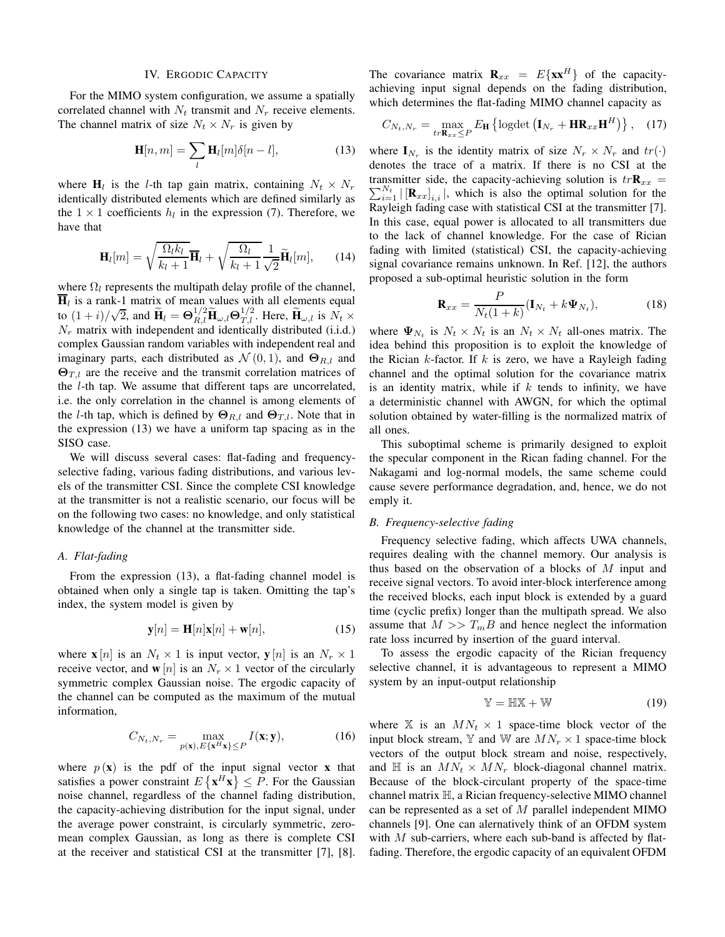#### IV. ERGODIC CAPACITY

For the MIMO system configuration, we assume a spatially correlated channel with  $N_t$  transmit and  $N_r$  receive elements. The channel matrix of size  $N_t \times N_r$  is given by

$$
\mathbf{H}[n,m] = \sum_{l} \mathbf{H}_l[m] \delta[n-l], \tag{13}
$$

where  $H_l$  is the *l*-th tap gain matrix, containing  $N_t \times N_r$ identically distributed elements which are defined similarly as the  $1 \times 1$  coefficients  $h_l$  in the expression (7). Therefore, we have that

$$
\mathbf{H}_{l}[m] = \sqrt{\frac{\Omega_{l}k_{l}}{k_{l}+1}}\overline{\mathbf{H}}_{l} + \sqrt{\frac{\Omega_{l}}{k_{l}+1}}\frac{1}{\sqrt{2}}\widetilde{\mathbf{H}}_{l}[m],\qquad(14)
$$

where  $\Omega_l$  represents the multipath delay profile of the channel,  $\overline{H}_l$  is a rank-1 matrix of mean values with all elements equal to  $(1 + i)/\sqrt{2}$ , and  $\tilde{\mathbf{H}}_l = \mathbf{\Theta}_{R,l}^{1/2} \tilde{\mathbf{H}}_{\omega,l} \mathbf{\Theta}_{T,l}^{1/2}$ . Here,  $\tilde{\mathbf{H}}_{\omega,l}$  is N<sub>t</sub> × N, matrix with independent and identically distributed (i, i, d)  $N_r$  matrix with independent and identically distributed (i.i.d.) complex Gaussian random variables with independent real and imaginary parts, each distributed as  $\mathcal{N}(0, 1)$ , and  $\Theta_{R,l}$  and **Θ**<sub>T,l</sub> are the receive and the transmit correlation matrices of the l-th tap. We assume that different taps are uncorrelated, i.e. the only correlation in the channel is among elements of the *l*-th tap, which is defined by  $\Theta_{R,l}$  and  $\Theta_{T,l}$ . Note that in the expression (13) we have a uniform tap spacing as in the SISO case.

We will discuss several cases: flat-fading and frequencyselective fading, various fading distributions, and various levels of the transmitter CSI. Since the complete CSI knowledge at the transmitter is not a realistic scenario, our focus will be on the following two cases: no knowledge, and only statistical knowledge of the channel at the transmitter side.

#### *A. Flat-fading*

From the expression (13), a flat-fading channel model is obtained when only a single tap is taken. Omitting the tap's index, the system model is given by

$$
\mathbf{y}[n] = \mathbf{H}[n]\mathbf{x}[n] + \mathbf{w}[n],\tag{15}
$$

where  $\mathbf{x}[n]$  is an  $N_t \times 1$  is input vector,  $\mathbf{y}[n]$  is an  $N_r \times 1$ receive vector, and  $\mathbf{w}[n]$  is an  $N_r \times 1$  vector of the circularly symmetric complex Gaussian noise. The ergodic capacity of the channel can be computed as the maximum of the mutual information,

$$
C_{N_t, N_r} = \max_{p(\mathbf{x}), E\{\mathbf{x}^H \mathbf{x}\} \le P} I(\mathbf{x}; \mathbf{y}),
$$
 (16)

where  $p(\mathbf{x})$  is the pdf of the input signal vector **x** that satisfies a power constraint  $E\left\{\mathbf{x}^H\mathbf{x}\right\} \leq P$ . For the Gaussian noise channel, regardless of the channel fading distribution, the capacity-achieving distribution for the input signal, under the average power constraint, is circularly symmetric, zeromean complex Gaussian, as long as there is complete CSI at the receiver and statistical CSI at the transmitter [7], [8]. The covariance matrix  $\mathbf{R}_{xx} = E\{\mathbf{x}\mathbf{x}^H\}$  of the capacityachieving input signal depends on the fading distribution, which determines the flat-fading MIMO channel capacity as

$$
C_{N_t, N_r} = \max_{tr \mathbf{R}_{xx} \leq P} E_{\mathbf{H}} \left\{ \text{logdet} \left( \mathbf{I}_{N_r} + \mathbf{H} \mathbf{R}_{xx} \mathbf{H}^H \right) \right\}, \quad (17)
$$

where  $I_{N_r}$  is the identity matrix of size  $N_r \times N_r$  and  $tr(\cdot)$ denotes the trace of a matrix. If there is no CSI at the transmitter side, the capacity-achieving solution is  $tr{\bf R}_{xx}$  = transmitter side, the capacity-achieving solution is  $tr \mathbf{R}_{xx} = \sum_{i=1}^{N_t} |[\mathbf{R}_{xx}]_{i,i}|$ , which is also the optimal solution for the  $\frac{N_t}{i-1}$   $\left|\left[\mathbf{R}_{xx}\right]_{i,i}\right|$ , which is also the optimal solution for the valence of the statistical CSI at the transmitter [7] Rayleigh fading case with statistical CSI at the transmitter [7]. In this case, equal power is allocated to all transmitters due to the lack of channel knowledge. For the case of Rician fading with limited (statistical) CSI, the capacity-achieving signal covariance remains unknown. In Ref. [12], the authors proposed a sub-optimal heuristic solution in the form

$$
\mathbf{R}_{xx} = \frac{P}{N_t(1+k)}(\mathbf{I}_{N_t} + k\mathbf{\Psi}_{N_t}),\tag{18}
$$

where  $\Psi_{N_t}$  is  $N_t \times N_t$  is an  $N_t \times N_t$  all-ones matrix. The idea behind this proposition is to exploit the knowledge of the Rician  $k$ -factor. If  $k$  is zero, we have a Rayleigh fading channel and the optimal solution for the covariance matrix is an identity matrix, while if  $k$  tends to infinity, we have a deterministic channel with AWGN, for which the optimal solution obtained by water-filling is the normalized matrix of all ones.

This suboptimal scheme is primarily designed to exploit the specular component in the Rican fading channel. For the Nakagami and log-normal models, the same scheme could cause severe performance degradation, and, hence, we do not emply it.

# *B. Frequency-selective fading*

Frequency selective fading, which affects UWA channels, requires dealing with the channel memory. Our analysis is thus based on the observation of a blocks of  $M$  input and receive signal vectors. To avoid inter-block interference among the received blocks, each input block is extended by a guard time (cyclic prefix) longer than the multipath spread. We also assume that  $M >> T_m B$  and hence neglect the information rate loss incurred by insertion of the guard interval.

To assess the ergodic capacity of the Rician frequency selective channel, it is advantageous to represent a MIMO system by an input-output relationship

$$
\mathbb{Y} = \mathbb{H}\mathbb{X} + \mathbb{W} \tag{19}
$$

where  $X$  is an  $MN_t \times 1$  space-time block vector of the input block stream, Y and W are  $MN_r \times 1$  space-time block vectors of the output block stream and noise, respectively, and H is an  $MN_t \times MN_r$  block-diagonal channel matrix. Because of the block-circulant property of the space-time channel matrix H, a Rician frequency-selective MIMO channel can be represented as a set of  $M$  parallel independent MIMO channels [9]. One can alernatively think of an OFDM system with  $M$  sub-carriers, where each sub-band is affected by flatfading. Therefore, the ergodic capacity of an equivalent OFDM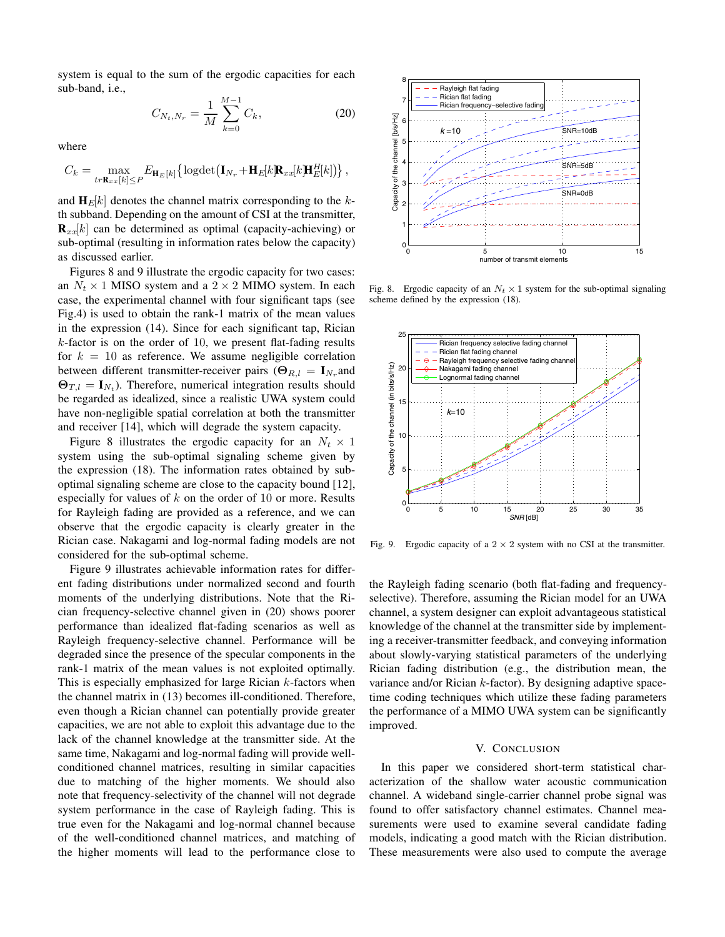system is equal to the sum of the ergodic capacities for each sub-band, i.e.,

$$
C_{N_t, N_r} = \frac{1}{M} \sum_{k=0}^{M-1} C_k,
$$
 (20)

where

$$
C_k = \max_{tr \mathbf{R}_{xx}[k] \leq P} E_{\mathbf{H}_E[k]} \left\{ \text{logdet} \left( \mathbf{I}_{N_r} + \mathbf{H}_E[k] \mathbf{R}_{xx}[k] \mathbf{H}_E^H[k] \right) \right\},\,
$$

and  $\mathbf{H}_E[k]$  denotes the channel matrix corresponding to the kth subband. Depending on the amount of CSI at the transmitter,  $\mathbf{R}_{xx}[k]$  can be determined as optimal (capacity-achieving) or sub-optimal (resulting in information rates below the capacity) as discussed earlier.

Figures 8 and 9 illustrate the ergodic capacity for two cases: an  $N_t \times 1$  MISO system and a  $2 \times 2$  MIMO system. In each case, the experimental channel with four significant taps (see Fig.4) is used to obtain the rank-1 matrix of the mean values in the expression (14). Since for each significant tap, Rician  $k$ -factor is on the order of 10, we present flat-fading results for  $k = 10$  as reference. We assume negligible correlation between different transmitter-receiver pairs ( $\Theta_{R,l} = I_{N_r}$  and  $\mathbf{\Theta}_{T,l} = \mathbf{I}_{N_t}$ ). Therefore, numerical integration results should be regarded as idealized, since a realistic UWA system could have non-negligible spatial correlation at both the transmitter and receiver [14], which will degrade the system capacity.

Figure 8 illustrates the ergodic capacity for an  $N_t \times 1$ system using the sub-optimal signaling scheme given by the expression (18). The information rates obtained by suboptimal signaling scheme are close to the capacity bound [12], especially for values of  $k$  on the order of 10 or more. Results for Rayleigh fading are provided as a reference, and we can observe that the ergodic capacity is clearly greater in the Rician case. Nakagami and log-normal fading models are not considered for the sub-optimal scheme.

Figure 9 illustrates achievable information rates for different fading distributions under normalized second and fourth moments of the underlying distributions. Note that the Rician frequency-selective channel given in (20) shows poorer performance than idealized flat-fading scenarios as well as Rayleigh frequency-selective channel. Performance will be degraded since the presence of the specular components in the rank-1 matrix of the mean values is not exploited optimally. This is especially emphasized for large Rician  $k$ -factors when the channel matrix in (13) becomes ill-conditioned. Therefore, even though a Rician channel can potentially provide greater capacities, we are not able to exploit this advantage due to the lack of the channel knowledge at the transmitter side. At the same time, Nakagami and log-normal fading will provide wellconditioned channel matrices, resulting in similar capacities due to matching of the higher moments. We should also note that frequency-selectivity of the channel will not degrade system performance in the case of Rayleigh fading. This is true even for the Nakagami and log-normal channel because of the well-conditioned channel matrices, and matching of the higher moments will lead to the performance close to



Fig. 8. Ergodic capacity of an  $N_t \times 1$  system for the sub-optimal signaling scheme defined by the expression (18).



Fig. 9. Ergodic capacity of a  $2 \times 2$  system with no CSI at the transmitter.

the Rayleigh fading scenario (both flat-fading and frequencyselective). Therefore, assuming the Rician model for an UWA channel, a system designer can exploit advantageous statistical knowledge of the channel at the transmitter side by implementing a receiver-transmitter feedback, and conveying information about slowly-varying statistical parameters of the underlying Rician fading distribution (e.g., the distribution mean, the variance and/or Rician  $k$ -factor). By designing adaptive spacetime coding techniques which utilize these fading parameters the performance of a MIMO UWA system can be significantly improved.

#### V. CONCLUSION

In this paper we considered short-term statistical characterization of the shallow water acoustic communication channel. A wideband single-carrier channel probe signal was found to offer satisfactory channel estimates. Channel measurements were used to examine several candidate fading models, indicating a good match with the Rician distribution. These measurements were also used to compute the average